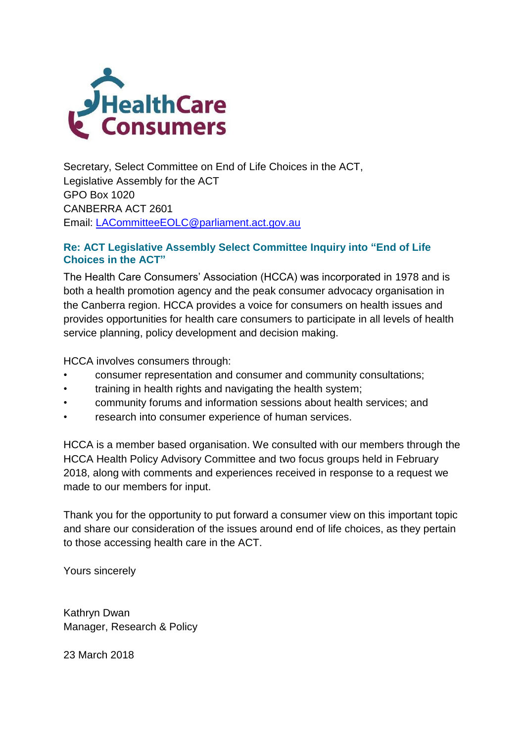

Secretary, Select Committee on End of Life Choices in the ACT, Legislative Assembly for the ACT GPO Box 1020 CANBERRA ACT 2601 Email: [LACommitteeEOLC@parliament.act.gov.au](mailto:LACommitteeEOLC@parliament.act.gov.au)

#### **Re: ACT Legislative Assembly Select Committee Inquiry into "End of Life Choices in the ACT"**

The Health Care Consumers' Association (HCCA) was incorporated in 1978 and is both a health promotion agency and the peak consumer advocacy organisation in the Canberra region. HCCA provides a voice for consumers on health issues and provides opportunities for health care consumers to participate in all levels of health service planning, policy development and decision making.

HCCA involves consumers through:

- consumer representation and consumer and community consultations;
- training in health rights and navigating the health system;
- community forums and information sessions about health services; and
- research into consumer experience of human services.

HCCA is a member based organisation. We consulted with our members through the HCCA Health Policy Advisory Committee and two focus groups held in February 2018, along with comments and experiences received in response to a request we made to our members for input.

Thank you for the opportunity to put forward a consumer view on this important topic and share our consideration of the issues around end of life choices, as they pertain to those accessing health care in the ACT.

Yours sincerely

Kathryn Dwan Manager, Research & Policy

23 March 2018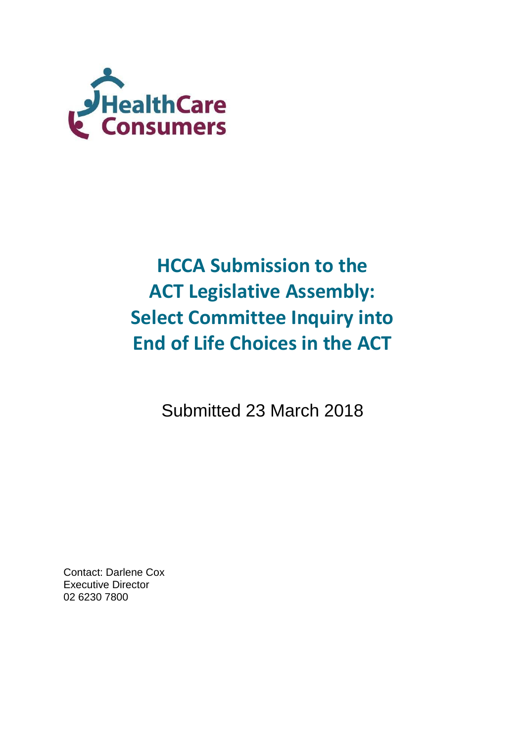

# **HCCA Submission to the ACT Legislative Assembly: Select Committee Inquiry into End of Life Choices in the ACT**

Submitted 23 March 2018

Contact: Darlene Cox Executive Director 02 6230 7800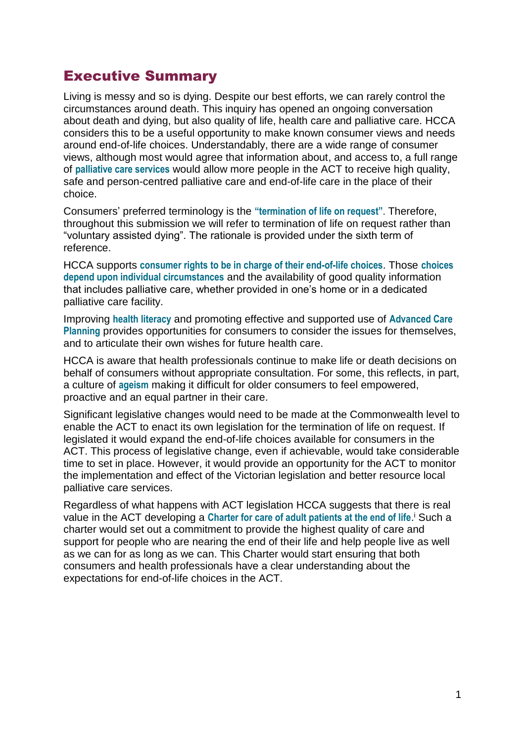### Executive Summary

Living is messy and so is dying. Despite our best efforts, we can rarely control the circumstances around death. This inquiry has opened an ongoing conversation about death and dying, but also quality of life, health care and palliative care. HCCA considers this to be a useful opportunity to make known consumer views and needs around end-of-life choices. Understandably, there are a wide range of consumer views, although most would agree that information about, and access to, a full range of **palliative care services** would allow more people in the ACT to receive high quality, safe and person-centred palliative care and end-of-life care in the place of their choice.

Consumers' preferred terminology is the **"termination of life on request"**. Therefore, throughout this submission we will refer to termination of life on request rather than "voluntary assisted dying". The rationale is provided under the sixth term of reference.

HCCA supports **consumer rights to be in charge of their end-of-life choices**. Those **choices depend upon individual circumstances** and the availability of good quality information that includes palliative care, whether provided in one's home or in a dedicated palliative care facility.

Improving **health literacy** and promoting effective and supported use of **Advanced Care Planning** provides opportunities for consumers to consider the issues for themselves, and to articulate their own wishes for future health care.

HCCA is aware that health professionals continue to make life or death decisions on behalf of consumers without appropriate consultation. For some, this reflects, in part, a culture of **ageism** making it difficult for older consumers to feel empowered, proactive and an equal partner in their care.

Significant legislative changes would need to be made at the Commonwealth level to enable the ACT to enact its own legislation for the termination of life on request. If legislated it would expand the end-of-life choices available for consumers in the ACT. This process of legislative change, even if achievable, would take considerable time to set in place. However, it would provide an opportunity for the ACT to monitor the implementation and effect of the Victorian legislation and better resource local palliative care services.

Regardless of what happens with ACT legislation HCCA suggests that there is real value in the ACT developing a Charter for care of adult patients at the end of life.<sup>i</sup> Such a charter would set out a commitment to provide the highest quality of care and support for people who are nearing the end of their life and help people live as well as we can for as long as we can. This Charter would start ensuring that both consumers and health professionals have a clear understanding about the expectations for end-of-life choices in the ACT.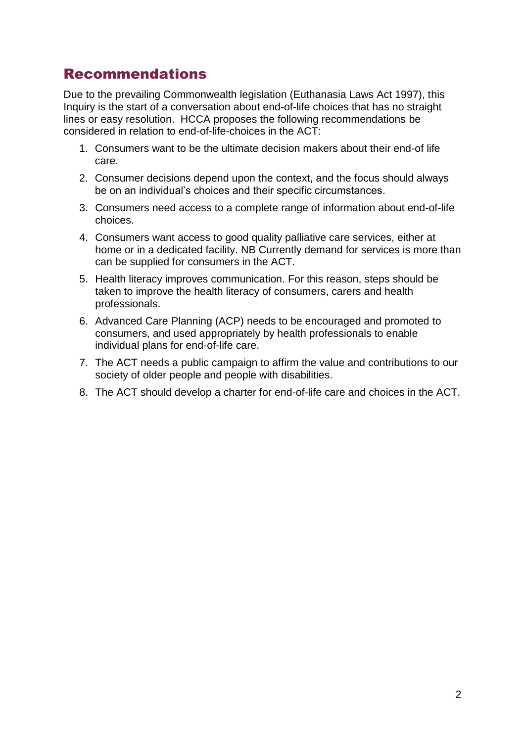## Recommendations

Due to the prevailing Commonwealth legislation (Euthanasia Laws Act 1997), this Inquiry is the start of a conversation about end-of-life choices that has no straight lines or easy resolution. HCCA proposes the following recommendations be considered in relation to end-of-life-choices in the ACT:

- 1. Consumers want to be the ultimate decision makers about their end-of life care.
- 2. Consumer decisions depend upon the context, and the focus should always be on an individual's choices and their specific circumstances.
- 3. Consumers need access to a complete range of information about end-of-life choices.
- 4. Consumers want access to good quality palliative care services, either at home or in a dedicated facility. NB Currently demand for services is more than can be supplied for consumers in the ACT.
- 5. Health literacy improves communication. For this reason, steps should be taken to improve the health literacy of consumers, carers and health professionals.
- 6. Advanced Care Planning (ACP) needs to be encouraged and promoted to consumers, and used appropriately by health professionals to enable individual plans for end-of-life care.
- 7. The ACT needs a public campaign to affirm the value and contributions to our society of older people and people with disabilities.
- 8. The ACT should develop a charter for end-of-life care and choices in the ACT.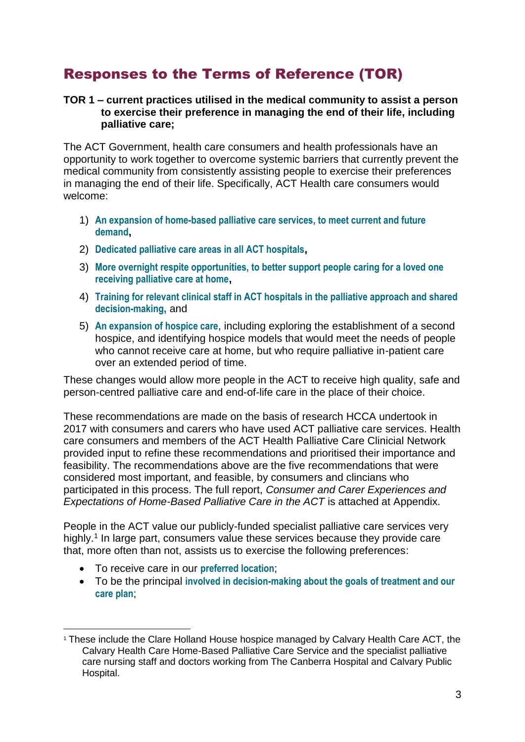# Responses to the Terms of Reference (TOR)

#### **TOR 1 – current practices utilised in the medical community to assist a person to exercise their preference in managing the end of their life, including palliative care;**

The ACT Government, health care consumers and health professionals have an opportunity to work together to overcome systemic barriers that currently prevent the medical community from consistently assisting people to exercise their preferences in managing the end of their life. Specifically, ACT Health care consumers would welcome:

- 1) **An expansion of home-based palliative care services, to meet current and future demand,**
- 2) **Dedicated palliative care areas in all ACT hospitals,**
- 3) **More overnight respite opportunities, to better support people caring for a loved one receiving palliative care at home,**
- 4) **Training for relevant clinical staff in ACT hospitals in the palliative approach and shared decision-making,** and
- 5) **An expansion of hospice care**, including exploring the establishment of a second hospice, and identifying hospice models that would meet the needs of people who cannot receive care at home, but who require palliative in-patient care over an extended period of time.

These changes would allow more people in the ACT to receive high quality, safe and person-centred palliative care and end-of-life care in the place of their choice.

These recommendations are made on the basis of research HCCA undertook in 2017 with consumers and carers who have used ACT palliative care services. Health care consumers and members of the ACT Health Palliative Care Clinicial Network provided input to refine these recommendations and prioritised their importance and feasibility. The recommendations above are the five recommendations that were considered most important, and feasible, by consumers and clincians who participated in this process. The full report, *Consumer and Carer Experiences and Expectations of Home-Based Palliative Care in the ACT* **is attached at Appendix.** 

People in the ACT value our publicly-funded specialist palliative care services very highly.<sup>1</sup> In large part, consumers value these services because they provide care that, more often than not, assists us to exercise the following preferences:

To receive care in our **preferred location**;

1

 To be the principal **involved in decision-making about the goals of treatment and our care plan**;

<sup>&</sup>lt;sup>1</sup> These include the Clare Holland House hospice managed by Calvary Health Care ACT, the Calvary Health Care Home-Based Palliative Care Service and the specialist palliative care nursing staff and doctors working from The Canberra Hospital and Calvary Public Hospital.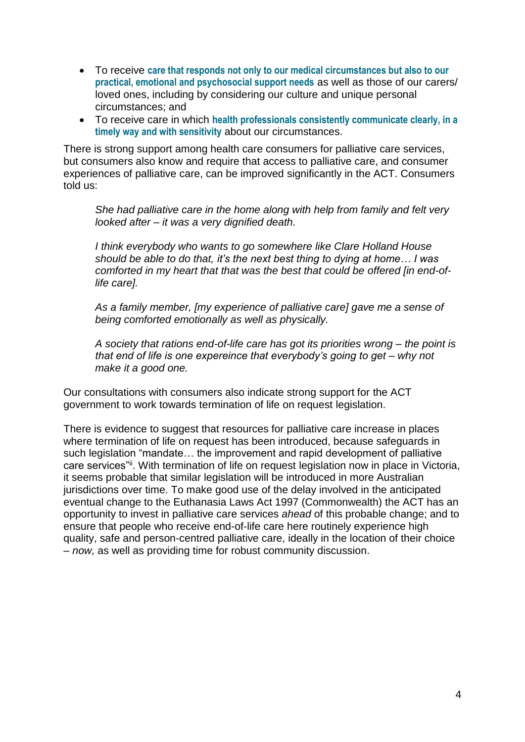- To receive **care that responds not only to our medical circumstances but also to our practical, emotional and psychosocial support needs** as well as those of our carers/ loved ones, including by considering our culture and unique personal circumstances; and
- To receive care in which **health professionals consistently communicate clearly, in a timely way and with sensitivity** about our circumstances.

There is strong support among health care consumers for palliative care services, but consumers also know and require that access to palliative care, and consumer experiences of palliative care, can be improved significantly in the ACT. Consumers told us:

*She had palliative care in the home along with help from family and felt very looked after – it was a very dignified death.*

*I think everybody who wants to go somewhere like Clare Holland House should be able to do that, it's the next best thing to dying at home… I was comforted in my heart that that was the best that could be offered [in end-oflife care].*

*As a family member, [my experience of palliative care] gave me a sense of being comforted emotionally as well as physically.*

*A society that rations end-of-life care has got its priorities wrong – the point is that end of life is one expereince that everybody's going to get – why not make it a good one.*

Our consultations with consumers also indicate strong support for the ACT government to work towards termination of life on request legislation.

There is evidence to suggest that resources for palliative care increase in places where termination of life on request has been introduced, because safeguards in such legislation "mandate… the improvement and rapid development of palliative care services"i. With termination of life on request legislation now in place in Victoria, it seems probable that similar legislation will be introduced in more Australian jurisdictions over time. To make good use of the delay involved in the anticipated eventual change to the Euthanasia Laws Act 1997 (Commonwealth) the ACT has an opportunity to invest in palliative care services *ahead* of this probable change; and to ensure that people who receive end-of-life care here routinely experience high quality, safe and person-centred palliative care, ideally in the location of their choice – *now,* as well as providing time for robust community discussion.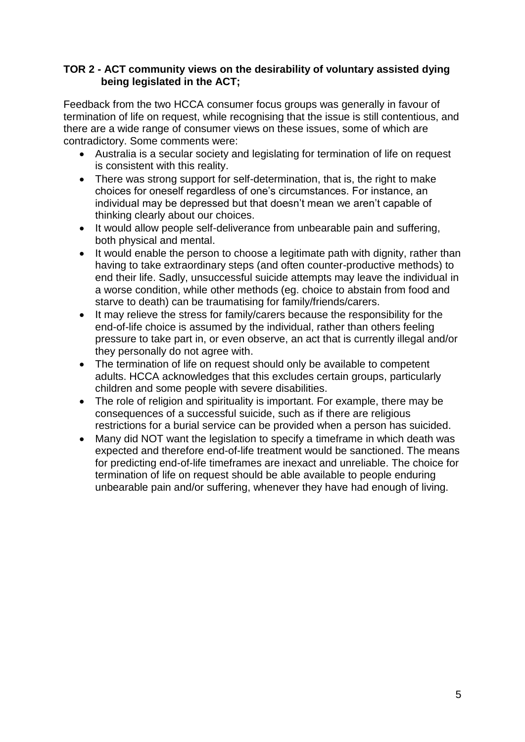#### **TOR 2 - ACT community views on the desirability of voluntary assisted dying being legislated in the ACT;**

Feedback from the two HCCA consumer focus groups was generally in favour of termination of life on request, while recognising that the issue is still contentious, and there are a wide range of consumer views on these issues, some of which are contradictory. Some comments were:

- Australia is a secular society and legislating for termination of life on request is consistent with this reality.
- There was strong support for self-determination, that is, the right to make choices for oneself regardless of one's circumstances. For instance, an individual may be depressed but that doesn't mean we aren't capable of thinking clearly about our choices.
- It would allow people self-deliverance from unbearable pain and suffering, both physical and mental.
- It would enable the person to choose a legitimate path with dignity, rather than having to take extraordinary steps (and often counter-productive methods) to end their life. Sadly, unsuccessful suicide attempts may leave the individual in a worse condition, while other methods (eg. choice to abstain from food and starve to death) can be traumatising for family/friends/carers.
- It may relieve the stress for family/carers because the responsibility for the end-of-life choice is assumed by the individual, rather than others feeling pressure to take part in, or even observe, an act that is currently illegal and/or they personally do not agree with.
- The termination of life on request should only be available to competent adults. HCCA acknowledges that this excludes certain groups, particularly children and some people with severe disabilities.
- The role of religion and spirituality is important. For example, there may be consequences of a successful suicide, such as if there are religious restrictions for a burial service can be provided when a person has suicided.
- Many did NOT want the legislation to specify a timeframe in which death was expected and therefore end-of-life treatment would be sanctioned. The means for predicting end-of-life timeframes are inexact and unreliable. The choice for termination of life on request should be able available to people enduring unbearable pain and/or suffering, whenever they have had enough of living.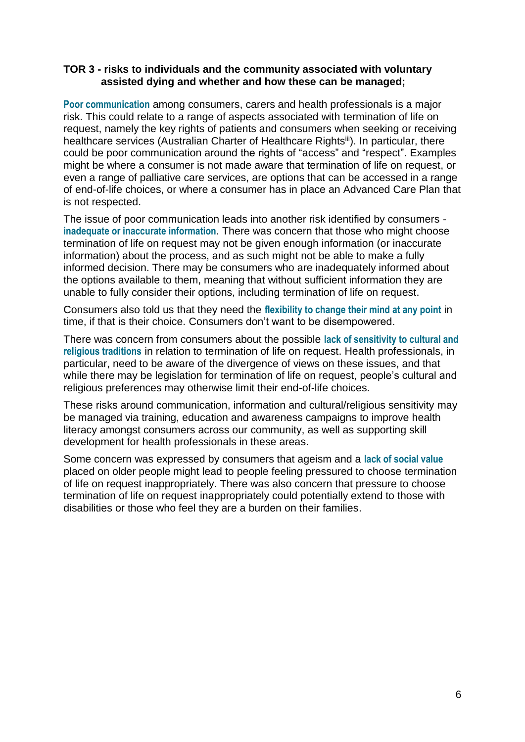#### **TOR 3 - risks to individuals and the community associated with voluntary assisted dying and whether and how these can be managed;**

**Poor communication** among consumers, carers and health professionals is a major risk. This could relate to a range of aspects associated with termination of life on request, namely the key rights of patients and consumers when seeking or receiving healthcare services (Australian Charter of Healthcare Rightsill). In particular, there could be poor communication around the rights of "access" and "respect". Examples might be where a consumer is not made aware that termination of life on request, or even a range of palliative care services, are options that can be accessed in a range of end-of-life choices, or where a consumer has in place an Advanced Care Plan that is not respected.

The issue of poor communication leads into another risk identified by consumers **inadequate or inaccurate information**. There was concern that those who might choose termination of life on request may not be given enough information (or inaccurate information) about the process, and as such might not be able to make a fully informed decision. There may be consumers who are inadequately informed about the options available to them, meaning that without sufficient information they are unable to fully consider their options, including termination of life on request.

Consumers also told us that they need the **flexibility to change their mind at any point** in time, if that is their choice. Consumers don't want to be disempowered.

There was concern from consumers about the possible **lack of sensitivity to cultural and religious traditions** in relation to termination of life on request. Health professionals, in particular, need to be aware of the divergence of views on these issues, and that while there may be legislation for termination of life on request, people's cultural and religious preferences may otherwise limit their end-of-life choices.

These risks around communication, information and cultural/religious sensitivity may be managed via training, education and awareness campaigns to improve health literacy amongst consumers across our community, as well as supporting skill development for health professionals in these areas.

Some concern was expressed by consumers that ageism and a **lack of social value** placed on older people might lead to people feeling pressured to choose termination of life on request inappropriately. There was also concern that pressure to choose termination of life on request inappropriately could potentially extend to those with disabilities or those who feel they are a burden on their families.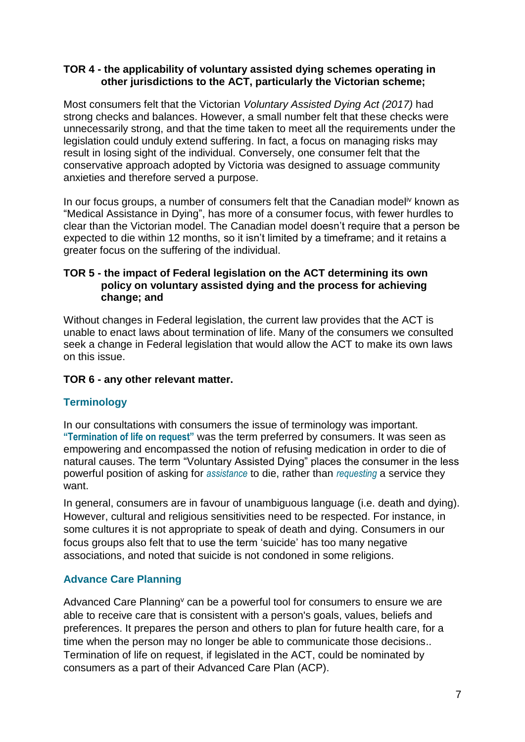#### **TOR 4 - the applicability of voluntary assisted dying schemes operating in other jurisdictions to the ACT, particularly the Victorian scheme;**

Most consumers felt that the Victorian *Voluntary Assisted Dying Act (2017)* had strong checks and balances. However, a small number felt that these checks were unnecessarily strong, and that the time taken to meet all the requirements under the legislation could unduly extend suffering. In fact, a focus on managing risks may result in losing sight of the individual. Conversely, one consumer felt that the conservative approach adopted by Victoria was designed to assuage community anxieties and therefore served a purpose.

In our focus groups, a number of consumers felt that the Canadian model<sup>iv</sup> known as "Medical Assistance in Dying", has more of a consumer focus, with fewer hurdles to clear than the Victorian model. The Canadian model doesn't require that a person be expected to die within 12 months, so it isn't limited by a timeframe; and it retains a greater focus on the suffering of the individual.

#### **TOR 5 - the impact of Federal legislation on the ACT determining its own policy on voluntary assisted dying and the process for achieving change; and**

Without changes in Federal legislation, the current law provides that the ACT is unable to enact laws about termination of life. Many of the consumers we consulted seek a change in Federal legislation that would allow the ACT to make its own laws on this issue.

#### **TOR 6 - any other relevant matter.**

#### **Terminology**

In our consultations with consumers the issue of terminology was important. **"Termination of life on request"** was the term preferred by consumers. It was seen as empowering and encompassed the notion of refusing medication in order to die of natural causes. The term "Voluntary Assisted Dying" places the consumer in the less powerful position of asking for *assistance* to die, rather than *requesting* a service they want.

In general, consumers are in favour of unambiguous language (i.e. death and dying). However, cultural and religious sensitivities need to be respected. For instance, in some cultures it is not appropriate to speak of death and dying. Consumers in our focus groups also felt that to use the term 'suicide' has too many negative associations, and noted that suicide is not condoned in some religions.

#### **Advance Care Planning**

Advanced Care Planning<sup>v</sup> can be a powerful tool for consumers to ensure we are able to receive care that is consistent with a person's goals, values, beliefs and preferences. It prepares the person and others to plan for future health care, for a time when the person may no longer be able to communicate those decisions.. Termination of life on request, if legislated in the ACT, could be nominated by consumers as a part of their Advanced Care Plan (ACP).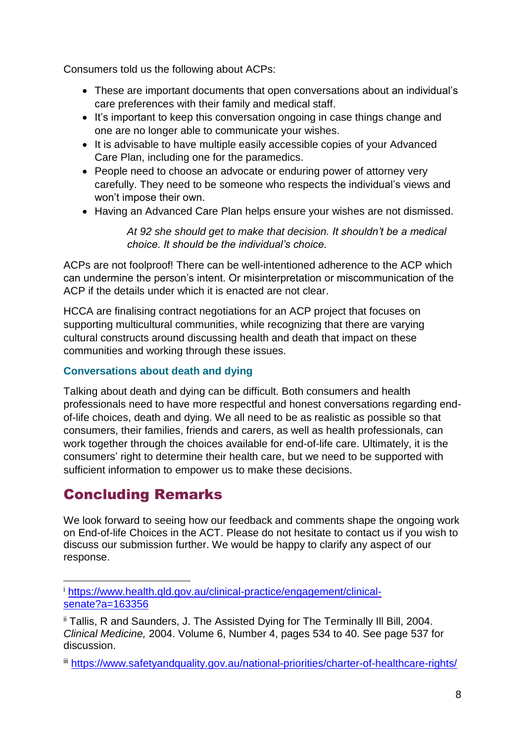Consumers told us the following about ACPs:

- These are important documents that open conversations about an individual's care preferences with their family and medical staff.
- It's important to keep this conversation ongoing in case things change and one are no longer able to communicate your wishes.
- It is advisable to have multiple easily accessible copies of your Advanced Care Plan, including one for the paramedics.
- People need to choose an advocate or enduring power of attorney very carefully. They need to be someone who respects the individual's views and won't impose their own.
- Having an Advanced Care Plan helps ensure your wishes are not dismissed.

*At 92 she should get to make that decision. It shouldn't be a medical choice. It should be the individual's choice.*

ACPs are not foolproof! There can be well-intentioned adherence to the ACP which can undermine the person's intent. Or misinterpretation or miscommunication of the ACP if the details under which it is enacted are not clear.

HCCA are finalising contract negotiations for an ACP project that focuses on supporting multicultural communities, while recognizing that there are varying cultural constructs around discussing health and death that impact on these communities and working through these issues.

#### **Conversations about death and dying**

Talking about death and dying can be difficult. Both consumers and health professionals need to have more respectful and honest conversations regarding endof-life choices, death and dying. We all need to be as realistic as possible so that consumers, their families, friends and carers, as well as health professionals, can work together through the choices available for end-of-life care. Ultimately, it is the consumers' right to determine their health care, but we need to be supported with sufficient information to empower us to make these decisions.

## Concluding Remarks

1

We look forward to seeing how our feedback and comments shape the ongoing work on End-of-life Choices in the ACT. Please do not hesitate to contact us if you wish to discuss our submission further. We would be happy to clarify any aspect of our response.

<sup>i</sup> [https://www.health.qld.gov.au/clinical-practice/engagement/clinical](https://www.health.qld.gov.au/clinical-practice/engagement/clinical-senate?a=163356)[senate?a=163356](https://www.health.qld.gov.au/clinical-practice/engagement/clinical-senate?a=163356)

ii Tallis, R and Saunders, J. The Assisted Dying for The Terminally Ill Bill, 2004. *Clinical Medicine,* 2004. Volume 6, Number 4, pages 534 to 40. See page 537 for discussion.

iii <https://www.safetyandquality.gov.au/national-priorities/charter-of-healthcare-rights/>